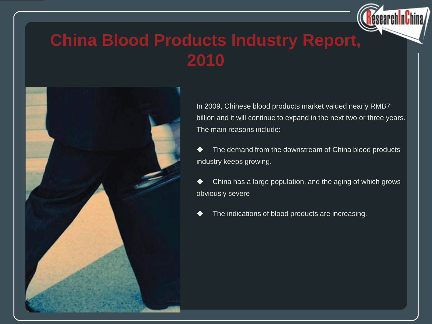

### **China Blood Products Industry Report, 2010**



In 2009, Chinese blood products market valued nearly RMB7 billion and it will continue to expand in the next two or three years. The main reasons include:

◆ The demand from the downstream of China blood products industry keeps growing.

 China has a large population, and the aging of which grows obviously severe

The indications of blood products are increasing.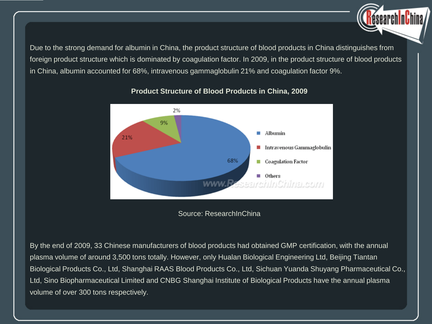Due to the strong demand for albumin in China, the product structure of blood products in China distinguishes from foreign product structure which is dominated by coagulation factor. In 2009, in the product structure of blood products in China, albumin accounted for 68%, intravenous gammaglobulin 21% and coagulation factor 9%.



### **Product Structure of Blood Products in China, 2009**

Source: ResearchInChina

By the end of 2009, 33 Chinese manufacturers of blood products had obtained GMP certification, with the annual plasma volume of around 3,500 tons totally. However, only Hualan Biological Engineering Ltd, Beijing Tiantan Biological Products Co., Ltd, Shanghai RAAS Blood Products Co., Ltd, Sichuan Yuanda Shuyang Pharmaceutical Co., Ltd, Sino Biopharmaceutical Limited and CNBG Shanghai Institute of Biological Products have the annual plasma volume of over 300 tons respectively.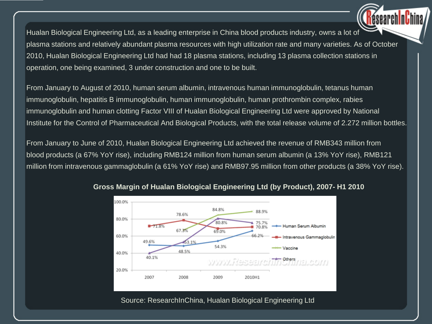Hualan Biological Engineering Ltd, as a leading enterprise in China blood products industry, owns a lot of plasma stations and relatively abundant plasma resources with high utilization rate and many varieties. As of October 2010, Hualan Biological Engineering Ltd had had 18 plasma stations, including 13 plasma collection stations in operation, one being examined, 3 under construction and one to be built.

From January to August of 2010, human serum albumin, intravenous human immunoglobulin, tetanus human immunoglobulin, hepatitis B immunoglobulin, human immunoglobulin, human prothrombin complex, rabies immunoglobulin and human clotting Factor VIII of Hualan Biological Engineering Ltd were approved by National Institute for the Control of Pharmaceutical And Biological Products, with the total release volume of 2.272 million bottles.

From January to June of 2010, Hualan Biological Engineering Ltd achieved the revenue of RMB343 million from blood products (a 67% YoY rise), including RMB124 million from human serum albumin (a 13% YoY rise), RMB121 million from intravenous gammaglobulin (a 61% YoY rise) and RMB97.95 million from other products (a 38% YoY rise).



### **Gross Margin of Hualan Biological Engineering Ltd (by Product), 2007- H1 2010**

Source: ResearchInChina, Hualan Biological Engineering Ltd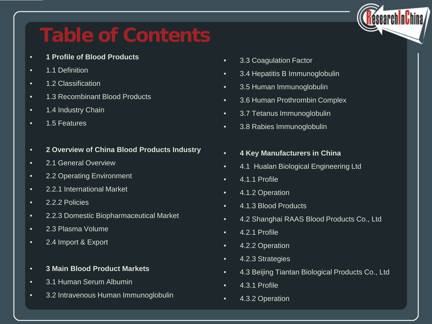

# **Table of Contents**

- **1 Profile of Blood Products**
- 1.1 Definition
- 1.2 Classification
- 1.3 Recombinant Blood Products
- 1.4 Industry Chain
- 1.5 Features
- **2 Overview of China Blood Products Industry**
- 2.1 General Overview
- 2.2 Operating Environment
- 2.2.1 International Market
- 2.2.2 Policies
- 2.2.3 Domestic Biopharmaceutical Market
- 2.3 Plasma Volume
- 2.4 Import & Export
- **3 Main Blood Product Markets**
- 3.1 Human Serum Albumin
- 3.2 Intravenous Human Immunoglobulin
- 3.3 Coagulation Factor
- 3.4 Hepatitis B Immunoglobulin
- 3.5 Human Immunoglobulin
- 3.6 Human Prothrombin Complex
- 3.7 Tetanus Immunoglobulin
- 3.8 Rabies Immunoglobulin
- **4 Key Manufacturers in China**
- 4.1 Hualan Biological Engineering Ltd
- 4.1.1 Profile
- 4.1.2 Operation
- 4.1.3 Blood Products
- 4.2 Shanghai RAAS Blood Products Co., Ltd
- 4.2.1 Profile
- 4.2.2 Operation
- 4.2.3 Strategies
- 4.3 Beijing Tiantan Biological Products Co., Ltd
- 4.3.1 Profile
- 4.3.2 Operation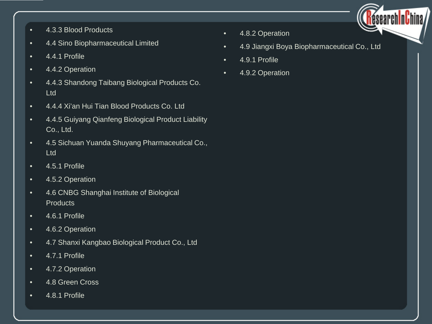

- 4.3.3 Blood Products
- 4.4 Sino Biopharmaceutical Limited
- 4.4.1 Profile
- 4.4.2 Operation
- 4.4.3 Shandong Taibang Biological Products Co. Ltd
- 4.4.4 Xi'an Hui Tian Blood Products Co. Ltd
- 4.4.5 Guiyang Qianfeng Biological Product Liability Co., Ltd.
- 4.5 Sichuan Yuanda Shuyang Pharmaceutical Co., Ltd
- 4.5.1 Profile
- 4.5.2 Operation
- 4.6 CNBG Shanghai Institute of Biological **Products**
- 4.6.1 Profile
- 4.6.2 Operation
- 4.7 Shanxi Kangbao Biological Product Co., Ltd
- 4.7.1 Profile
- 4.7.2 Operation
- 4.8 Green Cross
- 4.8.1 Profile
- 4.8.2 Operation
- 4.9 Jiangxi Boya Biopharmaceutical Co., Ltd
- 4.9.1 Profile
- 4.9.2 Operation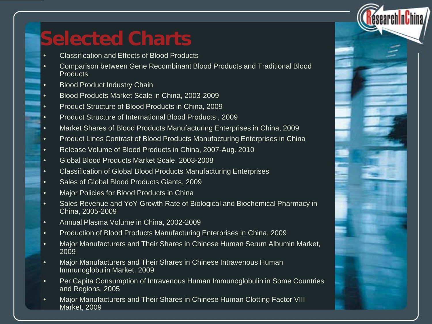

## **Selected Charts**

- Classification and Effects of Blood Products
- Comparison between Gene Recombinant Blood Products and Traditional Blood **Products**
- **Blood Product Industry Chain**
- Blood Products Market Scale in China, 2003-2009
- Product Structure of Blood Products in China, 2009
- Product Structure of International Blood Products , 2009
- Market Shares of Blood Products Manufacturing Enterprises in China, 2009
- Product Lines Contrast of Blood Products Manufacturing Enterprises in China
- Release Volume of Blood Products in China, 2007-Aug. 2010
- Global Blood Products Market Scale, 2003-2008
- Classification of Global Blood Products Manufacturing Enterprises
- Sales of Global Blood Products Giants, 2009
- Major Policies for Blood Products in China
- Sales Revenue and YoY Growth Rate of Biological and Biochemical Pharmacy in China, 2005-2009
- Annual Plasma Volume in China, 2002-2009
- Production of Blood Products Manufacturing Enterprises in China, 2009
- Major Manufacturers and Their Shares in Chinese Human Serum Albumin Market, 2009
- Major Manufacturers and Their Shares in Chinese Intravenous Human Immunoglobulin Market, 2009
- Per Capita Consumption of Intravenous Human Immunoglobulin in Some Countries and Regions, 2005
- Major Manufacturers and Their Shares in Chinese Human Clotting Factor VIII Market, 2009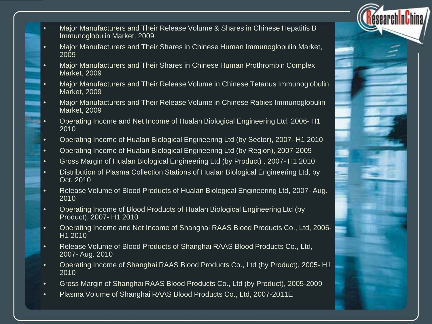- Major Manufacturers and Their Release Volume & Shares in Chinese Hepatitis B Immunoglobulin Market, 2009
- Major Manufacturers and Their Shares in Chinese Human Immunoglobulin Market, 2009
- Major Manufacturers and Their Shares in Chinese Human Prothrombin Complex Market, 2009
- Major Manufacturers and Their Release Volume in Chinese Tetanus Immunoglobulin Market, 2009
- Major Manufacturers and Their Release Volume in Chinese Rabies Immunoglobulin Market, 2009
- Operating Income and Net Income of Hualan Biological Engineering Ltd, 2006- H1 2010
- Operating Income of Hualan Biological Engineering Ltd (by Sector), 2007- H1 2010
- Operating Income of Hualan Biological Engineering Ltd (by Region), 2007-2009
- Gross Margin of Hualan Biological Engineering Ltd (by Product) , 2007- H1 2010
- Distribution of Plasma Collection Stations of Hualan Biological Engineering Ltd, by Oct. 2010
- Release Volume of Blood Products of Hualan Biological Engineering Ltd, 2007- Aug. 2010
- Operating Income of Blood Products of Hualan Biological Engineering Ltd (by Product), 2007- H1 2010
- Operating Income and Net Income of Shanghai RAAS Blood Products Co., Ltd, 2006-  $H1 2010$
- Release Volume of Blood Products of Shanghai RAAS Blood Products Co., Ltd, 2007- Aug. 2010
- Operating Income of Shanghai RAAS Blood Products Co., Ltd (by Product), 2005- H1 2010
- Gross Margin of Shanghai RAAS Blood Products Co., Ltd (by Product), 2005-2009
- Plasma Volume of Shanghai RAAS Blood Products Co., Ltd, 2007-2011E

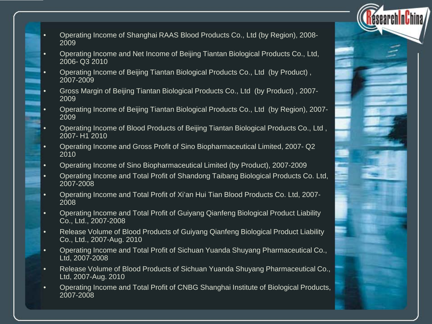- Operating Income of Shanghai RAAS Blood Products Co., Ltd (by Region), 2008- 2009
- Operating Income and Net Income of Beijing Tiantan Biological Products Co., Ltd, 2006- Q3 2010
- Operating Income of Beijing Tiantan Biological Products Co., Ltd (by Product) , 2007-2009
- Gross Margin of Beijing Tiantan Biological Products Co., Ltd (by Product) , 2007- 2009
- Operating Income of Beijing Tiantan Biological Products Co., Ltd (by Region), 2007- 2009
- Operating Income of Blood Products of Beijing Tiantan Biological Products Co., Ltd , 2007- H1 2010
- Operating Income and Gross Profit of Sino Biopharmaceutical Limited, 2007- Q2 2010
- Operating Income of Sino Biopharmaceutical Limited (by Product), 2007-2009
- Operating Income and Total Profit of Shandong Taibang Biological Products Co. Ltd, 2007-2008
- Operating Income and Total Profit of Xi'an Hui Tian Blood Products Co. Ltd, 2007- 2008
- Operating Income and Total Profit of Guiyang Qianfeng Biological Product Liability Co., Ltd., 2007-2008
- Release Volume of Blood Products of Guiyang Qianfeng Biological Product Liability Co., Ltd., 2007-Aug. 2010
- Operating Income and Total Profit of Sichuan Yuanda Shuyang Pharmaceutical Co., Ltd, 2007-2008
- Release Volume of Blood Products of Sichuan Yuanda Shuyang Pharmaceutical Co., Ltd, 2007-Aug. 2010
- Operating Income and Total Profit of CNBG Shanghai Institute of Biological Products, 2007-2008

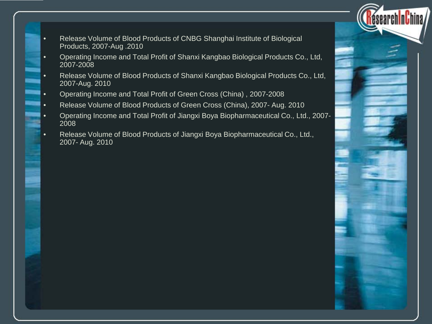- Release Volume of Blood Products of CNBG Shanghai Institute of Biological Products, 2007-Aug .2010
- Operating Income and Total Profit of Shanxi Kangbao Biological Products Co., Ltd, 2007-2008
- Release Volume of Blood Products of Shanxi Kangbao Biological Products Co., Ltd, 2007-Aug. 2010
- Operating Income and Total Profit of Green Cross (China) , 2007-2008
- Release Volume of Blood Products of Green Cross (China), 2007- Aug. 2010
- Operating Income and Total Profit of Jiangxi Boya Biopharmaceutical Co., Ltd., 2007- 2008
- Release Volume of Blood Products of Jiangxi Boya Biopharmaceutical Co., Ltd., 2007- Aug. 2010